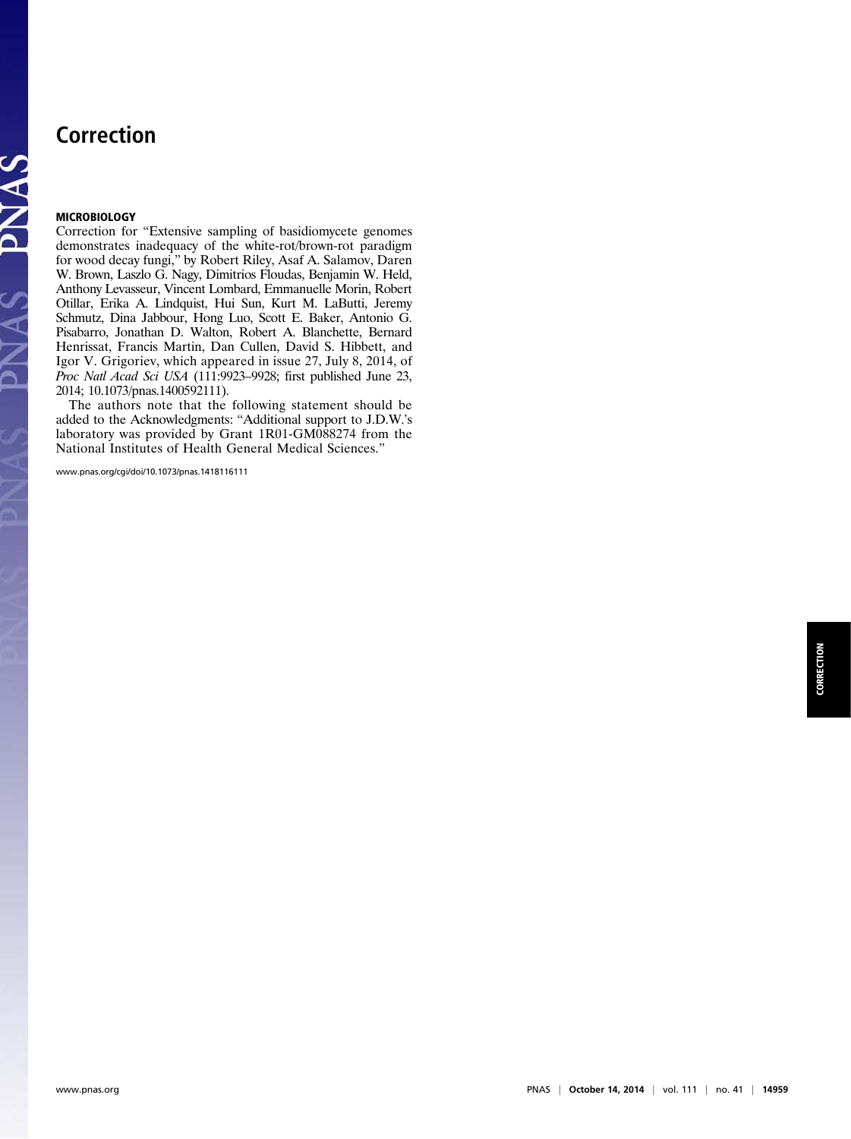# Correction

### MICROBIOLOGY

PNAS PNAS

Correction for "Extensive sampling of basidiomycete genomes demonstrates inadequacy of the white-rot/brown-rot paradigm for wood decay fungi," by Robert Riley, Asaf A. Salamov, Daren W. Brown, Laszlo G. Nagy, Dimitrios Floudas, Benjamin W. Held, Anthony Levasseur, Vincent Lombard, Emmanuelle Morin, Robert Otillar, Erika A. Lindquist, Hui Sun, Kurt M. LaButti, Jeremy Schmutz, Dina Jabbour, Hong Luo, Scott E. Baker, Antonio G. Pisabarro, Jonathan D. Walton, Robert A. Blanchette, Bernard Henrissat, Francis Martin, Dan Cullen, David S. Hibbett, and Igor V. Grigoriev, which appeared in issue 27, July 8, 2014, of Proc Natl Acad Sci USA (111:9923–9928; first published June 23, 2014; 10.1073/pnas.1400592111).

The authors note that the following statement should be added to the Acknowledgments: "Additional support to J.D.W.'s laboratory was provided by Grant 1R01-GM088274 from the National Institutes of Health General Medical Sciences."

<www.pnas.org/cgi/doi/10.1073/pnas.1418116111>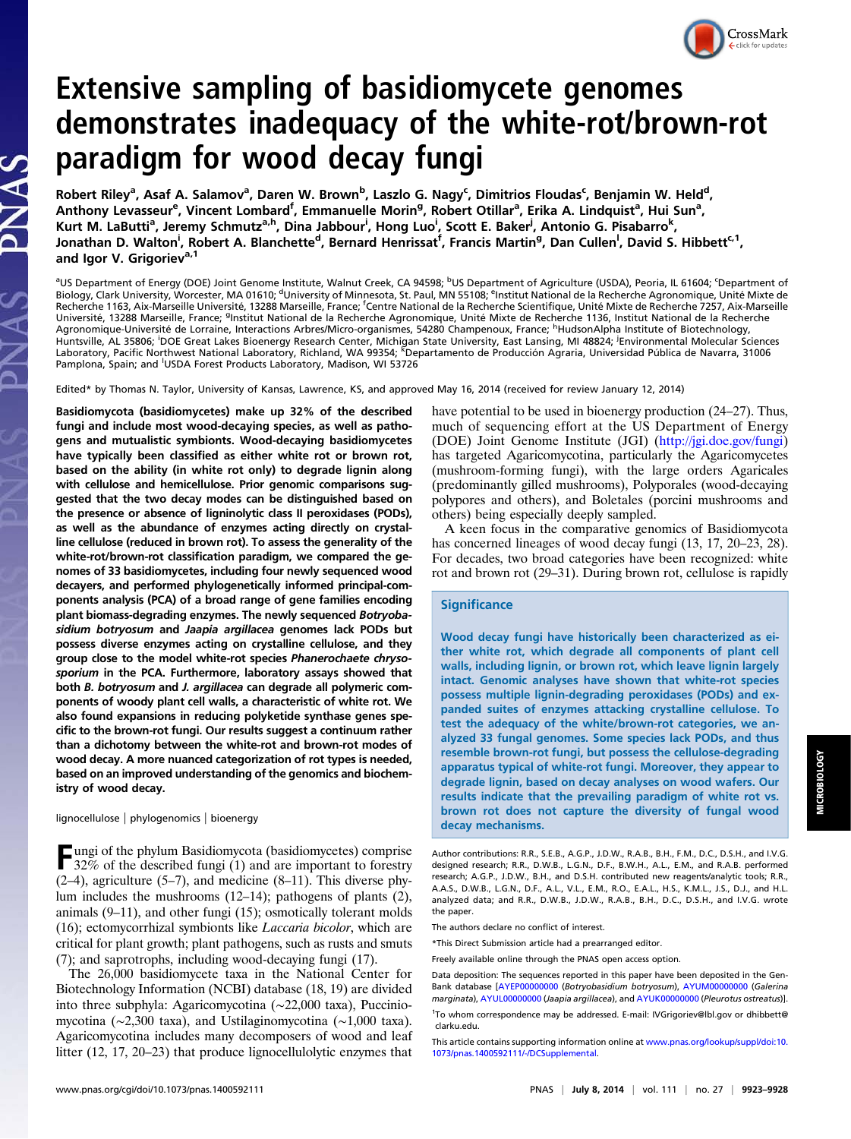# Extensive sampling of basidiomycete genomes demonstrates inadequacy of the white-rot/brown-rot paradigm for wood decay fungi

Robert Riley<sup>a</sup>, Asaf A. Salamov<sup>a</sup>, Daren W. Brown<sup>b</sup>, Laszlo G. Nagy<sup>c</sup>, Dimitrios Floudas<sup>c</sup>, Benjamin W. Held<sup>d</sup>, Anthony Levasseur<sup>e</sup>, Vincent Lombard<sup>f</sup>, Emmanuelle Morin<sup>g</sup>, Robert Otillar<sup>a</sup>, Erika A. Lindquist<sup>a</sup>, Hui Sun<sup>a</sup>, Kurt M. LaButti<sup>a</sup>, Jeremy Schmutz<sup>a,h</sup>, Dina Jabbour<sup>i</sup>, Hong Luo<sup>i</sup>, Scott E. Baker<sup>j</sup>, Antonio G. Pisabarro<sup>k</sup>, Jonathan D. Walton<sup>i</sup>, Robert A. Blanchette<sup>d</sup>, Bernard Henrissat<sup>f</sup>, Francis Martin<sup>g</sup>, Dan Cullen<sup>i</sup>, David S. Hibbett<sup>c, 1</sup>, and Igor V. Grigoriev<sup>a,1</sup>

<sup>a</sup>US Department of Energy (DOE) Joint Genome Institute, Walnut Creek, CA 94598; <sup>b</sup>US Department of Agriculture (USDA), Peoria, IL 61604; 'Department of<br>Biology, Clark University, Worcester, MA 01610; <sup>d</sup>University of Min Recherche 1163, Aix-Marseille Université, 13288 Marseille, France; <sup>f</sup>Centre National de la Recherche Scientifique, Unité Mixte de Recherche 7257, Aix-Marseille Université, 13288 Marseille, France; <sup>g</sup>institut National de la Recherche Agronomique, Unité Mixte de Recherche 1136, Institut National de la Recherche Agronomique-Université de Lorraine, Interactions Arbres/Micro-organismes, 54280 Champenoux, France; <sup>h</sup>HudsonAlpha Institute of Biotechnology, Huntsville, AL 35806; <sup>i</sup>DOE Great Lakes Bioenergy Research Center, Michigan State University, East Lansing, MI 48824; <sup>j</sup>Environmental Molecular Sciences Laboratory, Pacific Northwest National Laboratory, Richland, WA 99354; <sup>K</sup>Departamento de Producción Agraria, Universidad Pública de Navarra, 31006 Pamplona, Spain; and <sup>I</sup>USDA Forest Products Laboratory, Madison, WI 53726

Edited\* by Thomas N. Taylor, University of Kansas, Lawrence, KS, and approved May 16, 2014 (received for review January 12, 2014)

Basidiomycota (basidiomycetes) make up 32% of the described fungi and include most wood-decaying species, as well as pathogens and mutualistic symbionts. Wood-decaying basidiomycetes have typically been classified as either white rot or brown rot, based on the ability (in white rot only) to degrade lignin along with cellulose and hemicellulose. Prior genomic comparisons suggested that the two decay modes can be distinguished based on the presence or absence of ligninolytic class II peroxidases (PODs), as well as the abundance of enzymes acting directly on crystalline cellulose (reduced in brown rot). To assess the generality of the white-rot/brown-rot classification paradigm, we compared the genomes of 33 basidiomycetes, including four newly sequenced wood decayers, and performed phylogenetically informed principal-components analysis (PCA) of a broad range of gene families encoding plant biomass-degrading enzymes. The newly sequenced Botryobasidium botryosum and Jaapia argillacea genomes lack PODs but possess diverse enzymes acting on crystalline cellulose, and they group close to the model white-rot species Phanerochaete chrysosporium in the PCA. Furthermore, laboratory assays showed that both B. botryosum and J. argillacea can degrade all polymeric components of woody plant cell walls, a characteristic of white rot. We also found expansions in reducing polyketide synthase genes specific to the brown-rot fungi. Our results suggest a continuum rather than a dichotomy between the white-rot and brown-rot modes of wood decay. A more nuanced categorization of rot types is needed, based on an improved understanding of the genomics and biochemistry of wood decay.

#### lignocellulose | phylogenomics | bioenergy

Fungi of the phylum Basidiomycota (basidiomycetes) comprise 32% of the described fungi (1) and are important to forestry  $(2-4)$ , agriculture  $(5-7)$ , and medicine  $(8-11)$ . This diverse phylum includes the mushrooms (12–14); pathogens of plants (2), animals (9–11), and other fungi (15); osmotically tolerant molds (16); ectomycorrhizal symbionts like Laccaria bicolor, which are critical for plant growth; plant pathogens, such as rusts and smuts (7); and saprotrophs, including wood-decaying fungi (17).

The 26,000 basidiomycete taxa in the National Center for Biotechnology Information (NCBI) database (18, 19) are divided into three subphyla: Agaricomycotina (∼22,000 taxa), Pucciniomycotina (∼2,300 taxa), and Ustilaginomycotina (∼1,000 taxa). Agaricomycotina includes many decomposers of wood and leaf litter (12, 17, 20–23) that produce lignocellulolytic enzymes that have potential to be used in bioenergy production  $(24–27)$ . Thus, much of sequencing effort at the US Department of Energy (DOE) Joint Genome Institute (JGI) [\(http://jgi.doe.gov/fungi\)](http://jgi.doe.gov/fungi) has targeted Agaricomycotina, particularly the Agaricomycetes (mushroom-forming fungi), with the large orders Agaricales (predominantly gilled mushrooms), Polyporales (wood-decaying polypores and others), and Boletales (porcini mushrooms and others) being especially deeply sampled.

A keen focus in the comparative genomics of Basidiomycota has concerned lineages of wood decay fungi (13, 17, 20–23, 28). For decades, two broad categories have been recognized: white rot and brown rot (29–31). During brown rot, cellulose is rapidly

# **Significance**

Wood decay fungi have historically been characterized as either white rot, which degrade all components of plant cell walls, including lignin, or brown rot, which leave lignin largely intact. Genomic analyses have shown that white-rot species possess multiple lignin-degrading peroxidases (PODs) and expanded suites of enzymes attacking crystalline cellulose. To test the adequacy of the white/brown-rot categories, we analyzed 33 fungal genomes. Some species lack PODs, and thus resemble brown-rot fungi, but possess the cellulose-degrading apparatus typical of white-rot fungi. Moreover, they appear to degrade lignin, based on decay analyses on wood wafers. Our results indicate that the prevailing paradigm of white rot vs. brown rot does not capture the diversity of fungal wood decay mechanisms.

Author contributions: R.R., S.E.B., A.G.P., J.D.W., R.A.B., B.H., F.M., D.C., D.S.H., and I.V.G. designed research; R.R., D.W.B., L.G.N., D.F., B.W.H., A.L., E.M., and R.A.B. performed research; A.G.P., J.D.W., B.H., and D.S.H. contributed new reagents/analytic tools; R.R., A.A.S., D.W.B., L.G.N., D.F., A.L., V.L., E.M., R.O., E.A.L., H.S., K.M.L., J.S., D.J., and H.L. analyzed data; and R.R., D.W.B., J.D.W., R.A.B., B.H., D.C., D.S.H., and I.V.G. wrote the paper.

The authors declare no conflict of interest.

\*This Direct Submission article had a prearranged editor.

Freely available online through the PNAS open access option.

Data deposition: The sequences reported in this paper have been deposited in the Gen-Bank database [[AYEP00000000](http://www.ncbi.nlm.nih.gov/nuccore/AYEP00000000) (Botryobasidium botryosum), [AYUM00000000](http://www.ncbi.nlm.nih.gov/nuccore/AYUM00000000) (Galerina marginata), [AYUL00000000](http://www.ncbi.nlm.nih.gov/nuccore/AYUL00000000) (Jaapia argillacea), and [AYUK00000000](http://www.ncbi.nlm.nih.gov/nuccore/AYUK00000000) (Pleurotus ostreatus)].

CrossMark

<sup>&</sup>lt;sup>1</sup>To whom correspondence may be addressed. E-mail: [IVGrigoriev@lbl.gov](mailto:IVGrigoriev@lbl.gov) or [dhibbett@](mailto:dhibbett@clarku.edu) [clarku.edu](mailto:dhibbett@clarku.edu).

This article contains supporting information online at [www.pnas.org/lookup/suppl/doi:10.](http://www.pnas.org/lookup/suppl/doi:10.1073/pnas.1400592111/-/DCSupplemental) [1073/pnas.1400592111/-/DCSupplemental](http://www.pnas.org/lookup/suppl/doi:10.1073/pnas.1400592111/-/DCSupplemental).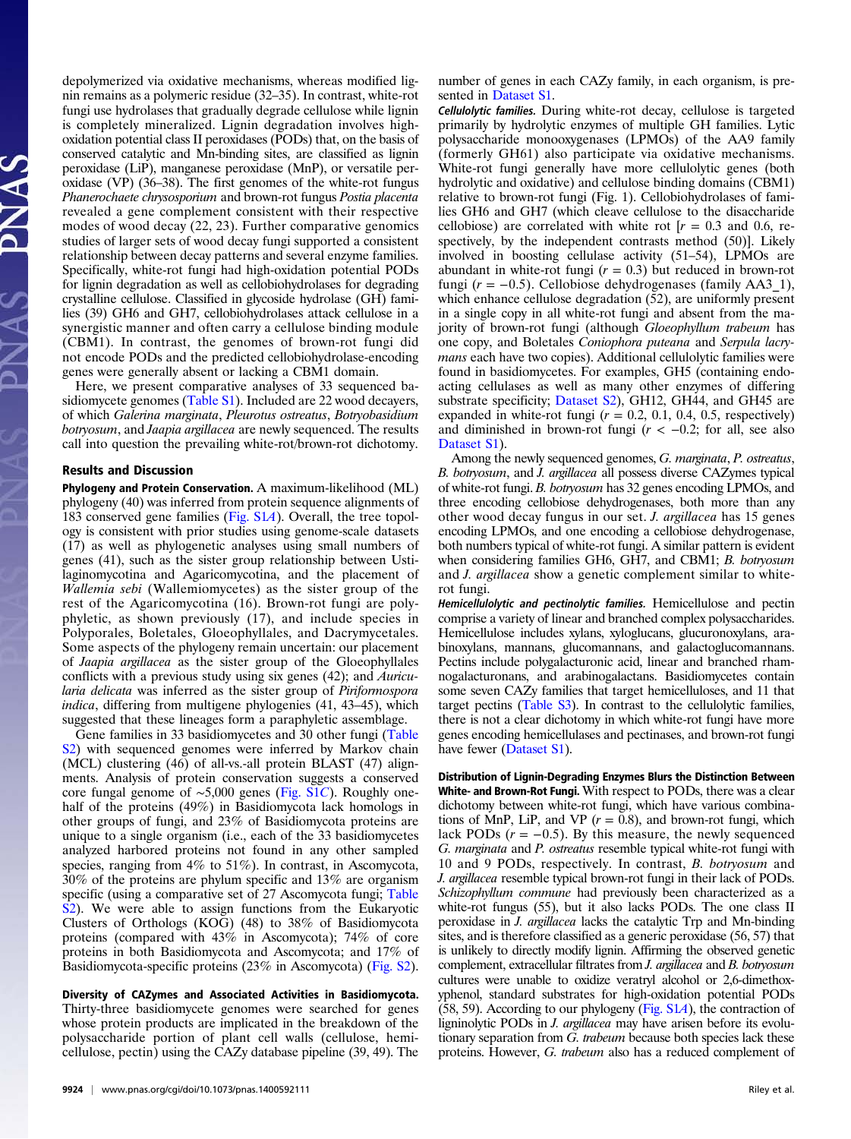depolymerized via oxidative mechanisms, whereas modified lignin remains as a polymeric residue (32–35). In contrast, white-rot fungi use hydrolases that gradually degrade cellulose while lignin is completely mineralized. Lignin degradation involves highoxidation potential class II peroxidases (PODs) that, on the basis of conserved catalytic and Mn-binding sites, are classified as lignin peroxidase (LiP), manganese peroxidase (MnP), or versatile peroxidase (VP) (36–38). The first genomes of the white-rot fungus Phanerochaete chrysosporium and brown-rot fungus Postia placenta revealed a gene complement consistent with their respective modes of wood decay (22, 23). Further comparative genomics studies of larger sets of wood decay fungi supported a consistent relationship between decay patterns and several enzyme families. Specifically, white-rot fungi had high-oxidation potential PODs for lignin degradation as well as cellobiohydrolases for degrading crystalline cellulose. Classified in glycoside hydrolase (GH) families (39) GH6 and GH7, cellobiohydrolases attack cellulose in a synergistic manner and often carry a cellulose binding module (CBM1). In contrast, the genomes of brown-rot fungi did not encode PODs and the predicted cellobiohydrolase-encoding genes were generally absent or lacking a CBM1 domain.

Here, we present comparative analyses of 33 sequenced ba-sidiomycete genomes ([Table S1\)](http://www.pnas.org/lookup/suppl/doi:10.1073/pnas.1400592111/-/DCSupplemental/pnas.201400592SI.pdf?targetid=nameddest=ST1). Included are 22 wood decayers, of which Galerina marginata, Pleurotus ostreatus, Botryobasidium botryosum, and Jaapia argillacea are newly sequenced. The results call into question the prevailing white-rot/brown-rot dichotomy.

#### Results and Discussion

Phylogeny and Protein Conservation. A maximum-likelihood (ML) phylogeny (40) was inferred from protein sequence alignments of 183 conserved gene families [\(Fig. S1](http://www.pnas.org/lookup/suppl/doi:10.1073/pnas.1400592111/-/DCSupplemental/pnas.201400592SI.pdf?targetid=nameddest=SF1)A). Overall, the tree topology is consistent with prior studies using genome-scale datasets (17) as well as phylogenetic analyses using small numbers of genes (41), such as the sister group relationship between Ustilaginomycotina and Agaricomycotina, and the placement of Wallemia sebi (Wallemiomycetes) as the sister group of the rest of the Agaricomycotina (16). Brown-rot fungi are polyphyletic, as shown previously (17), and include species in Polyporales, Boletales, Gloeophyllales, and Dacrymycetales. Some aspects of the phylogeny remain uncertain: our placement of Jaapia argillacea as the sister group of the Gloeophyllales conflicts with a previous study using six genes (42); and Auricularia delicata was inferred as the sister group of Piriformospora indica, differing from multigene phylogenies (41, 43–45), which suggested that these lineages form a paraphyletic assemblage.

Gene families in 33 basidiomycetes and 30 other fungi [\(Table](http://www.pnas.org/lookup/suppl/doi:10.1073/pnas.1400592111/-/DCSupplemental/pnas.201400592SI.pdf?targetid=nameddest=ST2) [S2](http://www.pnas.org/lookup/suppl/doi:10.1073/pnas.1400592111/-/DCSupplemental/pnas.201400592SI.pdf?targetid=nameddest=ST2)) with sequenced genomes were inferred by Markov chain (MCL) clustering (46) of all-vs.-all protein BLAST (47) alignments. Analysis of protein conservation suggests a conserved core fungal genome of ∼5,000 genes ([Fig. S1](http://www.pnas.org/lookup/suppl/doi:10.1073/pnas.1400592111/-/DCSupplemental/pnas.201400592SI.pdf?targetid=nameddest=SF1)C). Roughly onehalf of the proteins (49%) in Basidiomycota lack homologs in other groups of fungi, and 23% of Basidiomycota proteins are unique to a single organism (i.e., each of the 33 basidiomycetes analyzed harbored proteins not found in any other sampled species, ranging from  $4\%$  to 51%). In contrast, in Ascomycota, 30% of the proteins are phylum specific and 13% are organism specific (using a comparative set of 27 Ascomycota fungi; [Table](http://www.pnas.org/lookup/suppl/doi:10.1073/pnas.1400592111/-/DCSupplemental/pnas.201400592SI.pdf?targetid=nameddest=ST2) [S2](http://www.pnas.org/lookup/suppl/doi:10.1073/pnas.1400592111/-/DCSupplemental/pnas.201400592SI.pdf?targetid=nameddest=ST2)). We were able to assign functions from the Eukaryotic Clusters of Orthologs (KOG) (48) to 38% of Basidiomycota proteins (compared with 43% in Ascomycota); 74% of core proteins in both Basidiomycota and Ascomycota; and 17% of Basidiomycota-specific proteins (23% in Ascomycota) ([Fig. S2](http://www.pnas.org/lookup/suppl/doi:10.1073/pnas.1400592111/-/DCSupplemental/pnas.201400592SI.pdf?targetid=nameddest=SF2)).

Diversity of CAZymes and Associated Activities in Basidiomycota. Thirty-three basidiomycete genomes were searched for genes whose protein products are implicated in the breakdown of the polysaccharide portion of plant cell walls (cellulose, hemicellulose, pectin) using the CAZy database pipeline (39, 49). The number of genes in each CAZy family, in each organism, is presented in [Dataset S1](http://www.pnas.org/lookup/suppl/doi:10.1073/pnas.1400592111/-/DCSupplemental/pnas.1400592111.sd01.xlsx).

Cellulolytic families. During white-rot decay, cellulose is targeted primarily by hydrolytic enzymes of multiple GH families. Lytic polysaccharide monooxygenases (LPMOs) of the AA9 family (formerly GH61) also participate via oxidative mechanisms. White-rot fungi generally have more cellulolytic genes (both hydrolytic and oxidative) and cellulose binding domains (CBM1) relative to brown-rot fungi (Fig. 1). Cellobiohydrolases of families GH6 and GH7 (which cleave cellulose to the disaccharide cellobiose) are correlated with white rot  $[r = 0.3$  and 0.6, respectively, by the independent contrasts method (50)]. Likely involved in boosting cellulase activity (51–54), LPMOs are abundant in white-rot fungi  $(r = 0.3)$  but reduced in brown-rot fungi ( $r = -0.5$ ). Cellobiose dehydrogenases (family AA3-1), which enhance cellulose degradation (52), are uniformly present in a single copy in all white-rot fungi and absent from the majority of brown-rot fungi (although Gloeophyllum trabeum has one copy, and Boletales Coniophora puteana and Serpula lacrymans each have two copies). Additional cellulolytic families were found in basidiomycetes. For examples, GH5 (containing endoacting cellulases as well as many other enzymes of differing substrate specificity; [Dataset S2\)](http://www.pnas.org/lookup/suppl/doi:10.1073/pnas.1400592111/-/DCSupplemental/pnas.1400592111.sd02.xlsx), GH12, GH44, and GH45 are expanded in white-rot fungi  $(r = 0.2, 0.1, 0.4, 0.5,$  respectively) and diminished in brown-rot fungi  $(r < -0.2$ ; for all, see also [Dataset S1](http://www.pnas.org/lookup/suppl/doi:10.1073/pnas.1400592111/-/DCSupplemental/pnas.1400592111.sd01.xlsx)).

Among the newly sequenced genomes, G. marginata, P. ostreatus, B. botryosum, and J. argillacea all possess diverse CAZymes typical of white-rot fungi. B. botryosum has 32 genes encoding LPMOs, and three encoding cellobiose dehydrogenases, both more than any other wood decay fungus in our set. J. argillacea has 15 genes encoding LPMOs, and one encoding a cellobiose dehydrogenase, both numbers typical of white-rot fungi. A similar pattern is evident when considering families GH6, GH7, and CBM1; B. botryosum and *J. argillacea* show a genetic complement similar to whiterot fungi.

Hemicellulolytic and pectinolytic families. Hemicellulose and pectin comprise a variety of linear and branched complex polysaccharides. Hemicellulose includes xylans, xyloglucans, glucuronoxylans, arabinoxylans, mannans, glucomannans, and galactoglucomannans. Pectins include polygalacturonic acid, linear and branched rhamnogalacturonans, and arabinogalactans. Basidiomycetes contain some seven CAZy families that target hemicelluloses, and 11 that target pectins [\(Table S3\)](http://www.pnas.org/lookup/suppl/doi:10.1073/pnas.1400592111/-/DCSupplemental/pnas.201400592SI.pdf?targetid=nameddest=ST3). In contrast to the cellulolytic families, there is not a clear dichotomy in which white-rot fungi have more genes encoding hemicellulases and pectinases, and brown-rot fungi have fewer ([Dataset S1](http://www.pnas.org/lookup/suppl/doi:10.1073/pnas.1400592111/-/DCSupplemental/pnas.1400592111.sd01.xlsx)).

Distribution of Lignin-Degrading Enzymes Blurs the Distinction Between White- and Brown-Rot Fungi. With respect to PODs, there was a clear dichotomy between white-rot fungi, which have various combinations of MnP, LiP, and VP  $(r = 0.8)$ , and brown-rot fungi, which lack PODs  $(r = -0.5)$ . By this measure, the newly sequenced G. marginata and P. ostreatus resemble typical white-rot fungi with 10 and 9 PODs, respectively. In contrast, B. botryosum and J. argillacea resemble typical brown-rot fungi in their lack of PODs. Schizophyllum commune had previously been characterized as a white-rot fungus (55), but it also lacks PODs. The one class II peroxidase in J. argillacea lacks the catalytic Trp and Mn-binding sites, and is therefore classified as a generic peroxidase (56, 57) that is unlikely to directly modify lignin. Affirming the observed genetic complement, extracellular filtrates from J. argillacea and B. botryosum cultures were unable to oxidize veratryl alcohol or 2,6-dimethoxyphenol, standard substrates for high-oxidation potential PODs  $(58, 59)$ . According to our phylogeny [\(Fig. S1](http://www.pnas.org/lookup/suppl/doi:10.1073/pnas.1400592111/-/DCSupplemental/pnas.201400592SI.pdf?targetid=nameddest=SF1)A), the contraction of ligninolytic PODs in *J. argillacea* may have arisen before its evolutionary separation from G. trabeum because both species lack these proteins. However, G. trabeum also has a reduced complement of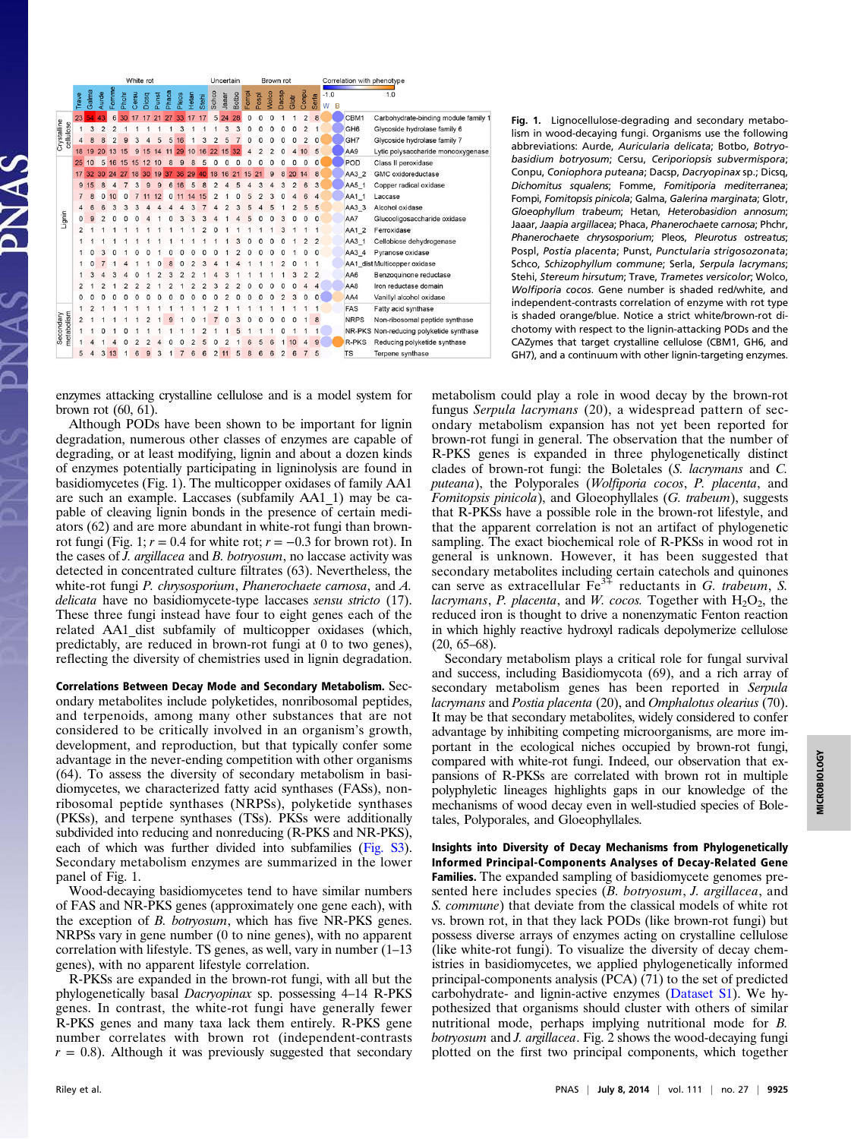

Fig. 1. Lignocellulose-degrading and secondary metabolism in wood-decaying fungi. Organisms use the following abbreviations: Aurde, Auricularia delicata; Botbo, Botryobasidium botryosum; Cersu, Ceriporiopsis subvermispora; Conpu, Coniophora puteana; Dacsp, Dacryopinax sp.; Dicsq, Dichomitus squalens; Fomme, Fomitiporia mediterranea; Fompi, Fomitopsis pinicola; Galma, Galerina marginata; Glotr, Gloeophyllum trabeum; Hetan, Heterobasidion annosum; Jaaar, Jaapia argillacea; Phaca, Phanerochaete carnosa; Phchr, Phanerochaete chrysosporium; Pleos, Pleurotus ostreatus; Pospl, Postia placenta; Punst, Punctularia strigosozonata; Schco, Schizophyllum commune; Serla, Serpula lacrymans; Stehi, Stereum hirsutum; Trave, Trametes versicolor; Wolco, Wolfiporia cocos. Gene number is shaded red/white, and independent-contrasts correlation of enzyme with rot type is shaded orange/blue. Notice a strict white/brown-rot dichotomy with respect to the lignin-attacking PODs and the CAZymes that target crystalline cellulose (CBM1, GH6, and GH7), and a continuum with other lignin-targeting enzymes.

enzymes attacking crystalline cellulose and is a model system for brown rot (60, 61).

Although PODs have been shown to be important for lignin degradation, numerous other classes of enzymes are capable of degrading, or at least modifying, lignin and about a dozen kinds of enzymes potentially participating in ligninolysis are found in basidiomycetes (Fig. 1). The multicopper oxidases of family AA1 are such an example. Laccases (subfamily AA1\_1) may be capable of cleaving lignin bonds in the presence of certain mediators (62) and are more abundant in white-rot fungi than brownrot fungi (Fig. 1;  $r = 0.4$  for white rot;  $r = -0.3$  for brown rot). In the cases of J. argillacea and B. botryosum, no laccase activity was detected in concentrated culture filtrates (63). Nevertheless, the white-rot fungi P. chrysosporium, Phanerochaete carnosa, and A. delicata have no basidiomycete-type laccases sensu stricto (17). These three fungi instead have four to eight genes each of the related AA1\_dist subfamily of multicopper oxidases (which, predictably, are reduced in brown-rot fungi at 0 to two genes), reflecting the diversity of chemistries used in lignin degradation.

Correlations Between Decay Mode and Secondary Metabolism. Secondary metabolites include polyketides, nonribosomal peptides, and terpenoids, among many other substances that are not considered to be critically involved in an organism's growth, development, and reproduction, but that typically confer some advantage in the never-ending competition with other organisms (64). To assess the diversity of secondary metabolism in basidiomycetes, we characterized fatty acid synthases (FASs), nonribosomal peptide synthases (NRPSs), polyketide synthases (PKSs), and terpene synthases (TSs). PKSs were additionally subdivided into reducing and nonreducing (R-PKS and NR-PKS), each of which was further divided into subfamilies ([Fig. S3\)](http://www.pnas.org/lookup/suppl/doi:10.1073/pnas.1400592111/-/DCSupplemental/pnas.201400592SI.pdf?targetid=nameddest=SF3). Secondary metabolism enzymes are summarized in the lower panel of Fig. 1.

Wood-decaying basidiomycetes tend to have similar numbers of FAS and NR-PKS genes (approximately one gene each), with the exception of B. botryosum, which has five NR-PKS genes. NRPSs vary in gene number (0 to nine genes), with no apparent correlation with lifestyle. TS genes, as well, vary in number (1–13 genes), with no apparent lifestyle correlation.

R-PKSs are expanded in the brown-rot fungi, with all but the phylogenetically basal Dacryopinax sp. possessing 4–14 R-PKS genes. In contrast, the white-rot fungi have generally fewer R-PKS genes and many taxa lack them entirely. R-PKS gene number correlates with brown rot (independent-contrasts  $r = 0.8$ ). Although it was previously suggested that secondary

metabolism could play a role in wood decay by the brown-rot fungus Serpula lacrymans (20), a widespread pattern of secondary metabolism expansion has not yet been reported for brown-rot fungi in general. The observation that the number of R-PKS genes is expanded in three phylogenetically distinct clades of brown-rot fungi: the Boletales (S. lacrymans and C. puteana), the Polyporales (Wolfiporia cocos, P. placenta, and Fomitopsis pinicola), and Gloeophyllales (G. trabeum), suggests that R-PKSs have a possible role in the brown-rot lifestyle, and that the apparent correlation is not an artifact of phylogenetic sampling. The exact biochemical role of R-PKSs in wood rot in general is unknown. However, it has been suggested that secondary metabolites including certain catechols and quinones can serve as extracellular  $Fe^{3+}$  reductants in G. trabeum, S. lacrymans, P. placenta, and W. cocos. Together with  $H_2O_2$ , the reduced iron is thought to drive a nonenzymatic Fenton reaction in which highly reactive hydroxyl radicals depolymerize cellulose  $(20, 65–68)$ .

Secondary metabolism plays a critical role for fungal survival and success, including Basidiomycota (69), and a rich array of secondary metabolism genes has been reported in Serpula lacrymans and Postia placenta (20), and Omphalotus olearius (70). It may be that secondary metabolites, widely considered to confer advantage by inhibiting competing microorganisms, are more important in the ecological niches occupied by brown-rot fungi, compared with white-rot fungi. Indeed, our observation that expansions of R-PKSs are correlated with brown rot in multiple polyphyletic lineages highlights gaps in our knowledge of the mechanisms of wood decay even in well-studied species of Boletales, Polyporales, and Gloeophyllales.

Insights into Diversity of Decay Mechanisms from Phylogenetically Informed Principal-Components Analyses of Decay-Related Gene Families. The expanded sampling of basidiomycete genomes presented here includes species (B. botryosum, J. argillacea, and S. commune) that deviate from the classical models of white rot vs. brown rot, in that they lack PODs (like brown-rot fungi) but possess diverse arrays of enzymes acting on crystalline cellulose (like white-rot fungi). To visualize the diversity of decay chemistries in basidiomycetes, we applied phylogenetically informed principal-components analysis (PCA) (71) to the set of predicted carbohydrate- and lignin-active enzymes ([Dataset S1\)](http://www.pnas.org/lookup/suppl/doi:10.1073/pnas.1400592111/-/DCSupplemental/pnas.1400592111.sd01.xlsx). We hypothesized that organisms should cluster with others of similar nutritional mode, perhaps implying nutritional mode for B. botryosum and J. argillacea. Fig. 2 shows the wood-decaying fungi plotted on the first two principal components, which together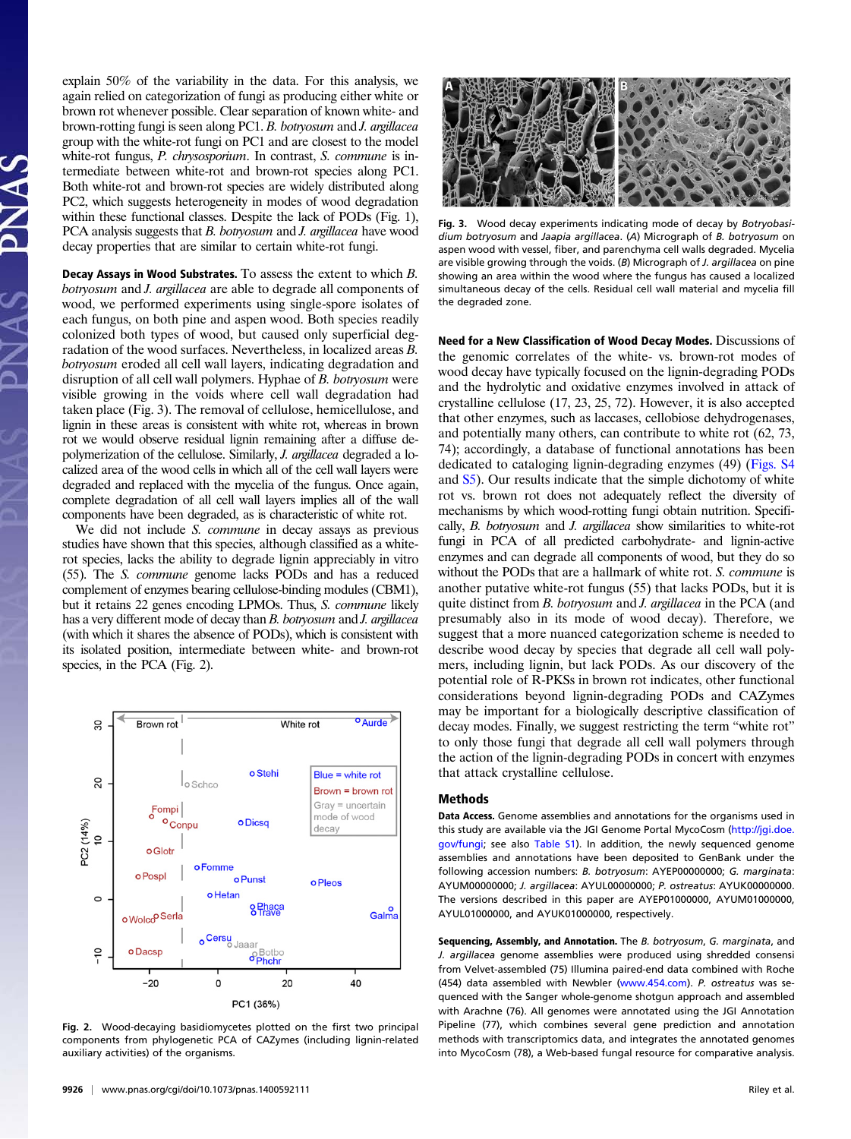explain 50% of the variability in the data. For this analysis, we again relied on categorization of fungi as producing either white or brown rot whenever possible. Clear separation of known white- and brown-rotting fungi is seen along PC1. B. botryosum and J. argillacea group with the white-rot fungi on PC1 and are closest to the model white-rot fungus, P. chrysosporium. In contrast, S. commune is intermediate between white-rot and brown-rot species along PC1. Both white-rot and brown-rot species are widely distributed along PC2, which suggests heterogeneity in modes of wood degradation within these functional classes. Despite the lack of PODs (Fig. 1), PCA analysis suggests that B. botryosum and J. argillacea have wood decay properties that are similar to certain white-rot fungi.

Decay Assays in Wood Substrates. To assess the extent to which B. botryosum and J. argillacea are able to degrade all components of wood, we performed experiments using single-spore isolates of each fungus, on both pine and aspen wood. Both species readily colonized both types of wood, but caused only superficial degradation of the wood surfaces. Nevertheless, in localized areas B. botryosum eroded all cell wall layers, indicating degradation and disruption of all cell wall polymers. Hyphae of B. botryosum were visible growing in the voids where cell wall degradation had taken place (Fig. 3). The removal of cellulose, hemicellulose, and lignin in these areas is consistent with white rot, whereas in brown rot we would observe residual lignin remaining after a diffuse depolymerization of the cellulose. Similarly, J. argillacea degraded a localized area of the wood cells in which all of the cell wall layers were degraded and replaced with the mycelia of the fungus. Once again, complete degradation of all cell wall layers implies all of the wall components have been degraded, as is characteristic of white rot.

We did not include *S. commune* in decay assays as previous studies have shown that this species, although classified as a whiterot species, lacks the ability to degrade lignin appreciably in vitro (55). The S. commune genome lacks PODs and has a reduced complement of enzymes bearing cellulose-binding modules (CBM1), but it retains 22 genes encoding LPMOs. Thus, S. commune likely has a very different mode of decay than B. botryosum and J. argillacea (with which it shares the absence of PODs), which is consistent with its isolated position, intermediate between white- and brown-rot species, in the PCA (Fig. 2).



Fig. 2. Wood-decaying basidiomycetes plotted on the first two principal components from phylogenetic PCA of CAZymes (including lignin-related auxiliary activities) of the organisms.

Fig. 3. Wood decay experiments indicating mode of decay by Botryobasidium botryosum and Jaapia argillacea. (A) Micrograph of B. botryosum on aspen wood with vessel, fiber, and parenchyma cell walls degraded. Mycelia are visible growing through the voids. (B) Micrograph of J. argillacea on pine showing an area within the wood where the fungus has caused a localized simultaneous decay of the cells. Residual cell wall material and mycelia fill the degraded zone.

Need for a New Classification of Wood Decay Modes. Discussions of the genomic correlates of the white- vs. brown-rot modes of wood decay have typically focused on the lignin-degrading PODs and the hydrolytic and oxidative enzymes involved in attack of crystalline cellulose (17, 23, 25, 72). However, it is also accepted that other enzymes, such as laccases, cellobiose dehydrogenases, and potentially many others, can contribute to white rot (62, 73, 74); accordingly, a database of functional annotations has been dedicated to cataloging lignin-degrading enzymes (49) [\(Figs. S4](http://www.pnas.org/lookup/suppl/doi:10.1073/pnas.1400592111/-/DCSupplemental/pnas.201400592SI.pdf?targetid=nameddest=SF4) and [S5](http://www.pnas.org/lookup/suppl/doi:10.1073/pnas.1400592111/-/DCSupplemental/pnas.201400592SI.pdf?targetid=nameddest=SF5)). Our results indicate that the simple dichotomy of white rot vs. brown rot does not adequately reflect the diversity of mechanisms by which wood-rotting fungi obtain nutrition. Specifically, B. botryosum and J. argillacea show similarities to white-rot fungi in PCA of all predicted carbohydrate- and lignin-active enzymes and can degrade all components of wood, but they do so without the PODs that are a hallmark of white rot. S. *commune* is another putative white-rot fungus (55) that lacks PODs, but it is quite distinct from B. botryosum and J. argillacea in the PCA (and presumably also in its mode of wood decay). Therefore, we suggest that a more nuanced categorization scheme is needed to describe wood decay by species that degrade all cell wall polymers, including lignin, but lack PODs. As our discovery of the potential role of R-PKSs in brown rot indicates, other functional considerations beyond lignin-degrading PODs and CAZymes may be important for a biologically descriptive classification of decay modes. Finally, we suggest restricting the term "white rot" to only those fungi that degrade all cell wall polymers through the action of the lignin-degrading PODs in concert with enzymes that attack crystalline cellulose.

# Methods

Data Access. Genome assemblies and annotations for the organisms used in this study are available via the JGI Genome Portal MycoCosm ([http://jgi.doe.](http://jgi.doe.gov/fungi) [gov/fungi](http://jgi.doe.gov/fungi); see also [Table S1\)](http://www.pnas.org/lookup/suppl/doi:10.1073/pnas.1400592111/-/DCSupplemental/pnas.201400592SI.pdf?targetid=nameddest=ST1). In addition, the newly sequenced genome assemblies and annotations have been deposited to GenBank under the following accession numbers: B. botryosum: AYEP00000000; G. marginata: AYUM00000000; J. argillacea: AYUL00000000; P. ostreatus: AYUK00000000. The versions described in this paper are AYEP01000000, AYUM01000000, AYUL01000000, and AYUK01000000, respectively.

Sequencing, Assembly, and Annotation. The B. botryosum, G. marginata, and J. argillacea genome assemblies were produced using shredded consensi from Velvet-assembled (75) Illumina paired-end data combined with Roche (454) data assembled with Newbler [\(www.454.com](http://www.454.com)). P. ostreatus was sequenced with the Sanger whole-genome shotgun approach and assembled with Arachne (76). All genomes were annotated using the JGI Annotation Pipeline (77), which combines several gene prediction and annotation methods with transcriptomics data, and integrates the annotated genomes into MycoCosm (78), a Web-based fungal resource for comparative analysis.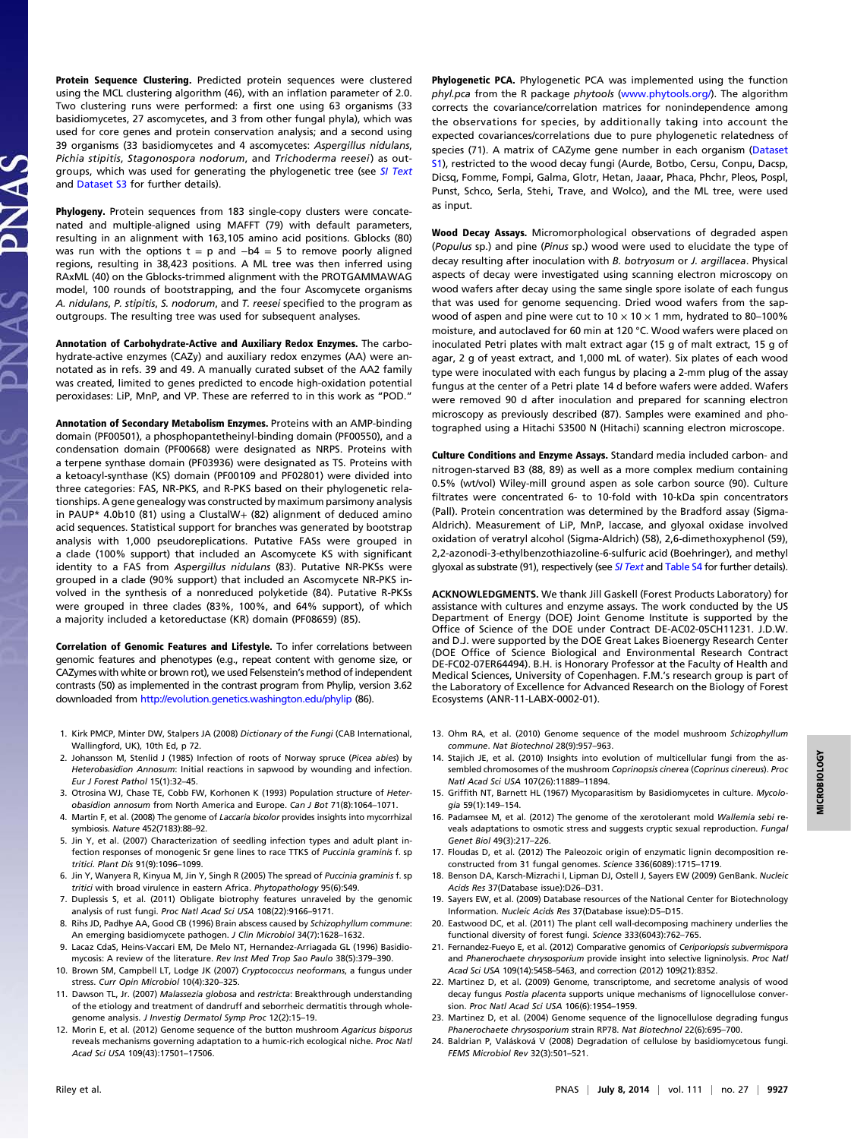Protein Sequence Clustering. Predicted protein sequences were clustered using the MCL clustering algorithm (46), with an inflation parameter of 2.0. Two clustering runs were performed: a first one using 63 organisms (33 basidiomycetes, 27 ascomycetes, and 3 from other fungal phyla), which was used for core genes and protein conservation analysis; and a second using 39 organisms (33 basidiomycetes and 4 ascomycetes: Aspergillus nidulans, Pichia stipitis, Stagonospora nodorum, and Trichoderma reesei) as out-groups, which was used for generating the phylogenetic tree (see [SI Text](http://www.pnas.org/lookup/suppl/doi:10.1073/pnas.1400592111/-/DCSupplemental/pnas.201400592SI.pdf?targetid=nameddest=STXT) and [Dataset S3](http://www.pnas.org/lookup/suppl/doi:10.1073/pnas.1400592111/-/DCSupplemental/pnas.1400592111.sd03.txt) for further details).

Phylogeny. Protein sequences from 183 single-copy clusters were concatenated and multiple-aligned using MAFFT (79) with default parameters, resulting in an alignment with 163,105 amino acid positions. Gblocks (80) was run with the options  $t = p$  and  $-b4 = 5$  to remove poorly aligned regions, resulting in 38,423 positions. A ML tree was then inferred using RAxML (40) on the Gblocks-trimmed alignment with the PROTGAMMAWAG model, 100 rounds of bootstrapping, and the four Ascomycete organisms A. nidulans, P. stipitis, S. nodorum, and T. reesei specified to the program as outgroups. The resulting tree was used for subsequent analyses.

Annotation of Carbohydrate-Active and Auxiliary Redox Enzymes. The carbohydrate-active enzymes (CAZy) and auxiliary redox enzymes (AA) were annotated as in refs. 39 and 49. A manually curated subset of the AA2 family was created, limited to genes predicted to encode high-oxidation potential peroxidases: LiP, MnP, and VP. These are referred to in this work as "POD."

Annotation of Secondary Metabolism Enzymes. Proteins with an AMP-binding domain (PF00501), a phosphopantetheinyl-binding domain (PF00550), and a condensation domain (PF00668) were designated as NRPS. Proteins with a terpene synthase domain (PF03936) were designated as TS. Proteins with a ketoacyl-synthase (KS) domain (PF00109 and PF02801) were divided into three categories: FAS, NR-PKS, and R-PKS based on their phylogenetic relationships. A gene genealogy was constructed by maximum parsimony analysis in PAUP\* 4.0b10 (81) using a ClustalW+ (82) alignment of deduced amino acid sequences. Statistical support for branches was generated by bootstrap analysis with 1,000 pseudoreplications. Putative FASs were grouped in a clade (100% support) that included an Ascomycete KS with significant identity to a FAS from Aspergillus nidulans (83). Putative NR-PKSs were grouped in a clade (90% support) that included an Ascomycete NR-PKS involved in the synthesis of a nonreduced polyketide (84). Putative R-PKSs were grouped in three clades (83%, 100%, and 64% support), of which a majority included a ketoreductase (KR) domain (PF08659) (85).

Correlation of Genomic Features and Lifestyle. To infer correlations between genomic features and phenotypes (e.g., repeat content with genome size, or CAZymes with white or brown rot), we used Felsenstein's method of independent contrasts (50) as implemented in the contrast program from Phylip, version 3.62 downloaded from <http://evolution.genetics.washington.edu/phylip> (86).

- 1. Kirk PMCP, Minter DW, Stalpers JA (2008) Dictionary of the Fungi (CAB International, Wallingford, UK), 10th Ed, p 72.
- 2. Johansson M, Stenlid J (1985) Infection of roots of Norway spruce (Picea abies) by Heterobasidion Annosum: Initial reactions in sapwood by wounding and infection. Eur J Forest Pathol 15(1):32–45.
- 3. Otrosina WJ, Chase TE, Cobb FW, Korhonen K (1993) Population structure of Heterobasidion annosum from North America and Europe. Can J Bot 71(8):1064–1071.
- 4. Martin F, et al. (2008) The genome of Laccaria bicolor provides insights into mycorrhizal symbiosis. Nature 452(7183):88–92.
- 5. Jin Y, et al. (2007) Characterization of seedling infection types and adult plant infection responses of monogenic Sr gene lines to race TTKS of Puccinia graminis f. sp tritici. Plant Dis 91(9):1096–1099.
- 6. Jin Y, Wanyera R, Kinyua M, Jin Y, Singh R (2005) The spread of Puccinia graminis f. sp tritici with broad virulence in eastern Africa. Phytopathology 95(6):S49.
- 7. Duplessis S, et al. (2011) Obligate biotrophy features unraveled by the genomic analysis of rust fungi. Proc Natl Acad Sci USA 108(22):9166–9171.
- 8. Rihs JD, Padhye AA, Good CB (1996) Brain abscess caused by Schizophyllum commune: An emerging basidiomycete pathogen. J Clin Microbiol 34(7):1628–1632.
- 9. Lacaz CdaS, Heins-Vaccari EM, De Melo NT, Hernandez-Arriagada GL (1996) Basidiomycosis: A review of the literature. Rev Inst Med Trop Sao Paulo 38(5):379–390.
- 10. Brown SM, Campbell LT, Lodge JK (2007) Cryptococcus neoformans, a fungus under stress. Curr Opin Microbiol 10(4):320–325.
- 11. Dawson TL, Jr. (2007) Malassezia globosa and restricta: Breakthrough understanding of the etiology and treatment of dandruff and seborrheic dermatitis through wholegenome analysis. J Investig Dermatol Symp Proc 12(2):15–19.
- 12. Morin E, et al. (2012) Genome sequence of the button mushroom Agaricus bisporus reveals mechanisms governing adaptation to a humic-rich ecological niche. Proc Natl Acad Sci USA 109(43):17501–17506.

Phylogenetic PCA. Phylogenetic PCA was implemented using the function phyl.pca from the R package phytools [\(www.phytools.org/\)](http://www.phytools.org/). The algorithm corrects the covariance/correlation matrices for nonindependence among the observations for species, by additionally taking into account the expected covariances/correlations due to pure phylogenetic relatedness of species (71). A matrix of CAZyme gene number in each organism [\(Dataset](http://www.pnas.org/lookup/suppl/doi:10.1073/pnas.1400592111/-/DCSupplemental/pnas.1400592111.sd01.xlsx) [S1](http://www.pnas.org/lookup/suppl/doi:10.1073/pnas.1400592111/-/DCSupplemental/pnas.1400592111.sd01.xlsx)), restricted to the wood decay fungi (Aurde, Botbo, Cersu, Conpu, Dacsp, Dicsq, Fomme, Fompi, Galma, Glotr, Hetan, Jaaar, Phaca, Phchr, Pleos, Pospl, Punst, Schco, Serla, Stehi, Trave, and Wolco), and the ML tree, were used as input.

Wood Decay Assays. Micromorphological observations of degraded aspen (Populus sp.) and pine (Pinus sp.) wood were used to elucidate the type of decay resulting after inoculation with B. botryosum or J. argillacea. Physical aspects of decay were investigated using scanning electron microscopy on wood wafers after decay using the same single spore isolate of each fungus that was used for genome sequencing. Dried wood wafers from the sapwood of aspen and pine were cut to  $10 \times 10 \times 1$  mm, hydrated to 80-100% moisture, and autoclaved for 60 min at 120 °C. Wood wafers were placed on inoculated Petri plates with malt extract agar (15 g of malt extract, 15 g of agar, 2 g of yeast extract, and 1,000 mL of water). Six plates of each wood type were inoculated with each fungus by placing a 2-mm plug of the assay fungus at the center of a Petri plate 14 d before wafers were added. Wafers were removed 90 d after inoculation and prepared for scanning electron microscopy as previously described (87). Samples were examined and photographed using a Hitachi S3500 N (Hitachi) scanning electron microscope.

Culture Conditions and Enzyme Assays. Standard media included carbon- and nitrogen-starved B3 (88, 89) as well as a more complex medium containing 0.5% (wt/vol) Wiley-mill ground aspen as sole carbon source (90). Culture filtrates were concentrated 6- to 10-fold with 10-kDa spin concentrators (Pall). Protein concentration was determined by the Bradford assay (Sigma-Aldrich). Measurement of LiP, MnP, laccase, and glyoxal oxidase involved oxidation of veratryl alcohol (Sigma-Aldrich) (58), 2,6-dimethoxyphenol (59), 2,2-azonodi-3-ethylbenzothiazoline-6-sulfuric acid (Boehringer), and methyl glyoxal as substrate (91), respectively (see [SI Text](http://www.pnas.org/lookup/suppl/doi:10.1073/pnas.1400592111/-/DCSupplemental/pnas.201400592SI.pdf?targetid=nameddest=STXT) and [Table S4](http://www.pnas.org/lookup/suppl/doi:10.1073/pnas.1400592111/-/DCSupplemental/pnas.201400592SI.pdf?targetid=nameddest=ST4) for further details).

ACKNOWLEDGMENTS. We thank Jill Gaskell (Forest Products Laboratory) for assistance with cultures and enzyme assays. The work conducted by the US Department of Energy (DOE) Joint Genome Institute is supported by the Office of Science of the DOE under Contract DE-AC02-05CH11231. J.D.W. and D.J. were supported by the DOE Great Lakes Bioenergy Research Center (DOE Office of Science Biological and Environmental Research Contract DE-FC02-07ER64494). B.H. is Honorary Professor at the Faculty of Health and Medical Sciences, University of Copenhagen. F.M.'s research group is part of the Laboratory of Excellence for Advanced Research on the Biology of Forest Ecosystems (ANR-11-LABX-0002-01).

- 13. Ohm RA, et al. (2010) Genome sequence of the model mushroom Schizophyllum commune. Nat Biotechnol 28(9):957–963.
- 14. Stajich JE, et al. (2010) Insights into evolution of multicellular fungi from the assembled chromosomes of the mushroom Coprinopsis cinerea (Coprinus cinereus). Proc Natl Acad Sci USA 107(26):11889–11894.
- 15. Griffith NT, Barnett HL (1967) Mycoparasitism by Basidiomycetes in culture. Mycologia 59(1):149–154.
- 16. Padamsee M, et al. (2012) The genome of the xerotolerant mold Wallemia sebi reveals adaptations to osmotic stress and suggests cryptic sexual reproduction. Fungal Genet Biol 49(3):217–226.
- 17. Floudas D, et al. (2012) The Paleozoic origin of enzymatic lignin decomposition reconstructed from 31 fungal genomes. Science 336(6089):1715–1719.
- 18. Benson DA, Karsch-Mizrachi I, Lipman DJ, Ostell J, Sayers EW (2009) GenBank. Nucleic Acids Res 37(Database issue):D26–D31.
- 19. Sayers EW, et al. (2009) Database resources of the National Center for Biotechnology Information. Nucleic Acids Res 37(Database issue):D5–D15.
- 20. Eastwood DC, et al. (2011) The plant cell wall-decomposing machinery underlies the functional diversity of forest fungi. Science 333(6043):762–765.
- 21. Fernandez-Fueyo E, et al. (2012) Comparative genomics of Ceriporiopsis subvermispora and Phanerochaete chrysosporium provide insight into selective ligninolysis. Proc Natl Acad Sci USA 109(14):5458–5463, and correction (2012) 109(21):8352.
- 22. Martinez D, et al. (2009) Genome, transcriptome, and secretome analysis of wood decay fungus Postia placenta supports unique mechanisms of lignocellulose conversion. Proc Natl Acad Sci USA 106(6):1954–1959.
- 23. Martinez D, et al. (2004) Genome sequence of the lignocellulose degrading fungus Phanerochaete chrysosporium strain RP78. Nat Biotechnol 22(6):695–700.
- 24. Baldrian P, Valásková V (2008) Degradation of cellulose by basidiomycetous fungi. FEMS Microbiol Rev 32(3):501–521.